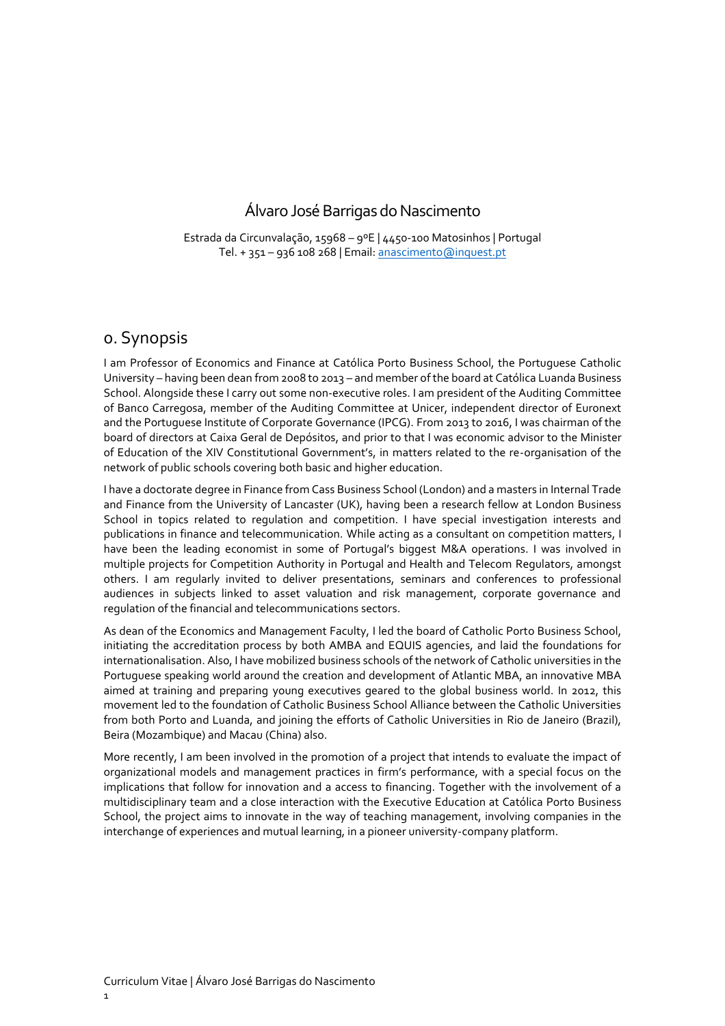## Álvaro José Barrigas do Nascimento

Estrada da Circunvalação, 15968 – 9ºE | 4450-100 Matosinhos | Portugal Tel. + 351 – 936 108 268 | Email[: anascimento@inquest.pt](mailto:anascimento@inquest.pt)

### 0. Synopsis

I am Professor of Economics and Finance at Católica Porto Business School, the Portuguese Catholic University – having been dean from 2008 to 2013 – and member of the board at Católica Luanda Business School. Alongside these I carry out some non-executive roles. I am president of the Auditing Committee of Banco Carregosa, member of the Auditing Committee at Unicer, independent director of Euronext and the Portuguese Institute of Corporate Governance (IPCG). From 2013 to 2016, I was chairman of the board of directors at Caixa Geral de Depósitos, and prior to that I was economic advisor to the Minister of Education of the XIV Constitutional Government's, in matters related to the re-organisation of the network of public schools covering both basic and higher education.

I have a doctorate degree in Finance from Cass Business School (London) and a masters in Internal Trade and Finance from the University of Lancaster (UK), having been a research fellow at London Business School in topics related to regulation and competition. I have special investigation interests and publications in finance and telecommunication. While acting as a consultant on competition matters, I have been the leading economist in some of Portugal's biggest M&A operations. I was involved in multiple projects for Competition Authority in Portugal and Health and Telecom Regulators, amongst others. I am regularly invited to deliver presentations, seminars and conferences to professional audiences in subjects linked to asset valuation and risk management, corporate governance and regulation of the financial and telecommunications sectors.

As dean of the Economics and Management Faculty, I led the board of Catholic Porto Business School, initiating the accreditation process by both AMBA and EQUIS agencies, and laid the foundations for internationalisation. Also, I have mobilized business schools of the network of Catholic universities in the Portuguese speaking world around the creation and development of Atlantic MBA, an innovative MBA aimed at training and preparing young executives geared to the global business world. In 2012, this movement led to the foundation of Catholic Business School Alliance between the Catholic Universities from both Porto and Luanda, and joining the efforts of Catholic Universities in Rio de Janeiro (Brazil), Beira (Mozambique) and Macau (China) also.

More recently, I am been involved in the promotion of a project that intends to evaluate the impact of organizational models and management practices in firm's performance, with a special focus on the implications that follow for innovation and a access to financing. Together with the involvement of a multidisciplinary team and a close interaction with the Executive Education at Católica Porto Business School, the project aims to innovate in the way of teaching management, involving companies in the interchange of experiences and mutual learning, in a pioneer university-company platform.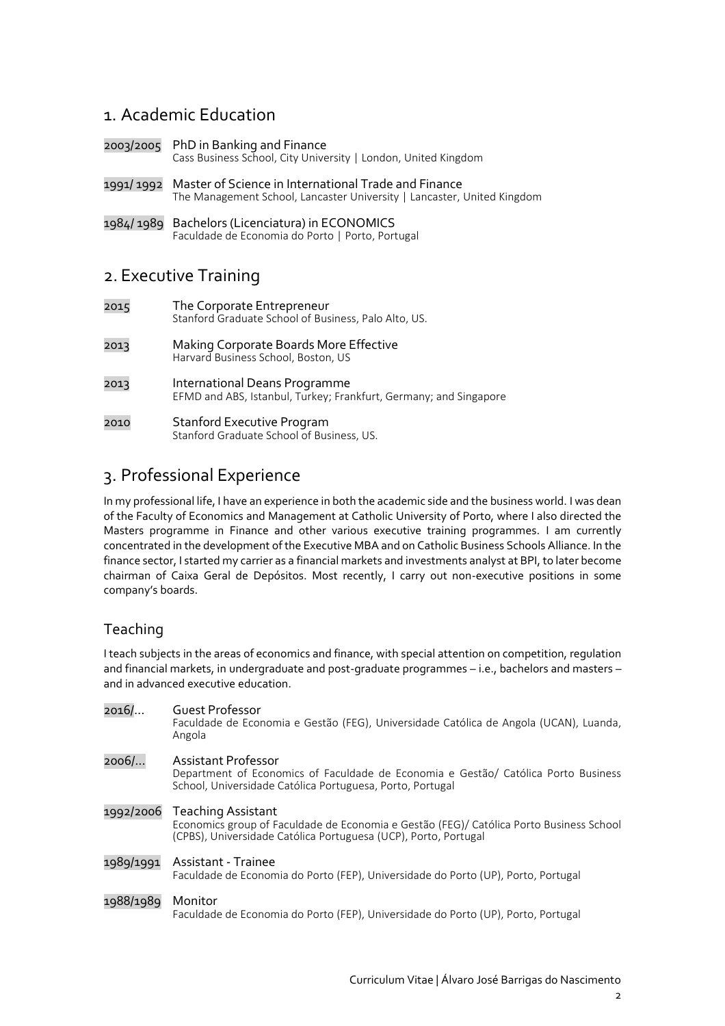## 1. Academic Education

- 2003/2005 PhD in Banking and Finance Cass Business School, City University | London, United Kingdom
- 1991/ 1992 Master of Science in International Trade and Finance The Management School, Lancaster University | Lancaster, United Kingdom
- 1984/ 1989 Bachelors (Licenciatura) in ECONOMICS Faculdade de Economia do Porto | Porto, Portugal

## 2. Executive Training

- 2015 The Corporate Entrepreneur Stanford Graduate School of Business, Palo Alto, US.
- 2013 Making Corporate Boards More Effective Harvard Business School, Boston, US
- 2013 International Deans Programme EFMD and ABS, Istanbul, Turkey; Frankfurt, Germany; and Singapore
- 2010 Stanford Executive Program Stanford Graduate School of Business, US.

## 3. Professional Experience

In my professional life, I have an experience in both the academic side and the business world. I was dean of the Faculty of Economics and Management at Catholic University of Porto, where I also directed the Masters programme in Finance and other various executive training programmes. I am currently concentrated in the development of the Executive MBA and on Catholic Business Schools Alliance. In the finance sector, I started my carrier as a financial markets and investments analyst at BPI, to later become chairman of Caixa Geral de Depósitos. Most recently, I carry out non-executive positions in some company's boards.

## Teaching

I teach subjects in the areas of economics and finance, with special attention on competition, regulation and financial markets, in undergraduate and post-graduate programmes – i.e., bachelors and masters – and in advanced executive education.

| 2016/     | Guest Professor<br>Faculdade de Economia e Gestão (FEG), Universidade Católica de Angola (UCAN), Luanda,<br>Angola                                                                         |
|-----------|--------------------------------------------------------------------------------------------------------------------------------------------------------------------------------------------|
| 2006/     | Assistant Professor<br>Department of Economics of Faculdade de Economia e Gestão/ Católica Porto Business<br>School, Universidade Católica Portuguesa, Porto, Portugal                     |
|           | 1992/2006 Teaching Assistant<br>Economics group of Faculdade de Economia e Gestão (FEG)/ Católica Porto Business School<br>(CPBS), Universidade Católica Portuguesa (UCP), Porto, Portugal |
| 1989/1991 | Assistant - Trainee<br>Faculdade de Economia do Porto (FEP), Universidade do Porto (UP), Porto, Portugal                                                                                   |
| 1988/1989 | Monitor<br>Faculdade de Economia do Porto (FEP), Universidade do Porto (UP), Porto, Portugal                                                                                               |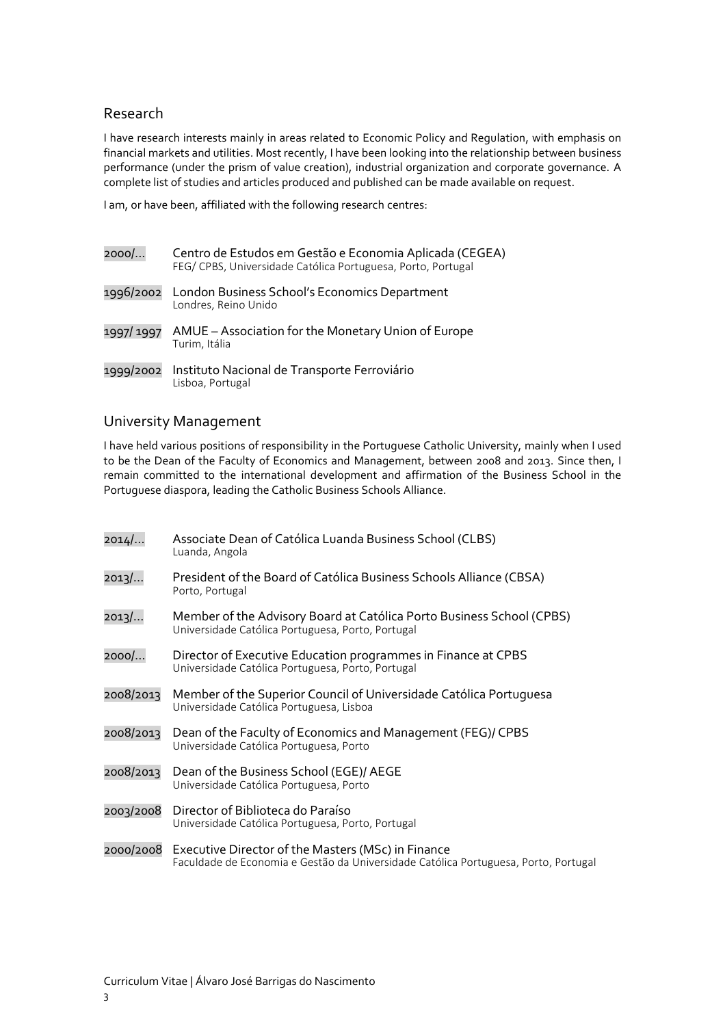#### Research

I have research interests mainly in areas related to Economic Policy and Regulation, with emphasis on financial markets and utilities. Most recently, I have been looking into the relationship between business performance (under the prism of value creation), industrial organization and corporate governance. A complete list of studies and articles produced and published can be made available on request.

I am, or have been, affiliated with the following research centres:

| 2000/     | Centro de Estudos em Gestão e Economia Aplicada (CEGEA)<br>FEG/CPBS, Universidade Católica Portuguesa, Porto, Portugal |
|-----------|------------------------------------------------------------------------------------------------------------------------|
|           | 1996/2002 London Business School's Economics Department<br>Londres, Reino Unido                                        |
| 1997/1997 | AMUE – Association for the Monetary Union of Europe<br>Turim, Itália                                                   |
| 1999/2002 | Instituto Nacional de Transporte Ferroviário<br>Lisboa, Portugal                                                       |

#### University Management

I have held various positions of responsibility in the Portuguese Catholic University, mainly when I used to be the Dean of the Faculty of Economics and Management, between 2008 and 2013. Since then, I remain committed to the international development and affirmation of the Business School in the Portuguese diaspora, leading the Catholic Business Schools Alliance.

| $2014$    | Associate Dean of Católica Luanda Business School (CLBS)<br>Luanda, Angola                                                                |
|-----------|-------------------------------------------------------------------------------------------------------------------------------------------|
| 2013/     | President of the Board of Católica Business Schools Alliance (CBSA)<br>Porto, Portugal                                                    |
| $2013$    | Member of the Advisory Board at Católica Porto Business School (CPBS)<br>Universidade Católica Portuguesa, Porto, Portugal                |
| 2000/     | Director of Executive Education programmes in Finance at CPBS<br>Universidade Católica Portuguesa, Porto, Portugal                        |
| 2008/2013 | Member of the Superior Council of Universidade Católica Portuguesa<br>Universidade Católica Portuguesa, Lisboa                            |
| 2008/2013 | Dean of the Faculty of Economics and Management (FEG)/ CPBS<br>Universidade Católica Portuguesa, Porto                                    |
| 2008/2013 | Dean of the Business School (EGE)/ AEGE<br>Universidade Católica Portuguesa, Porto                                                        |
| 2003/2008 | Director of Biblioteca do Paraíso<br>Universidade Católica Portuguesa, Porto, Portugal                                                    |
| 2000/2008 | Executive Director of the Masters (MSc) in Finance<br>Faculdade de Economia e Gestão da Universidade Católica Portuguesa, Porto, Portugal |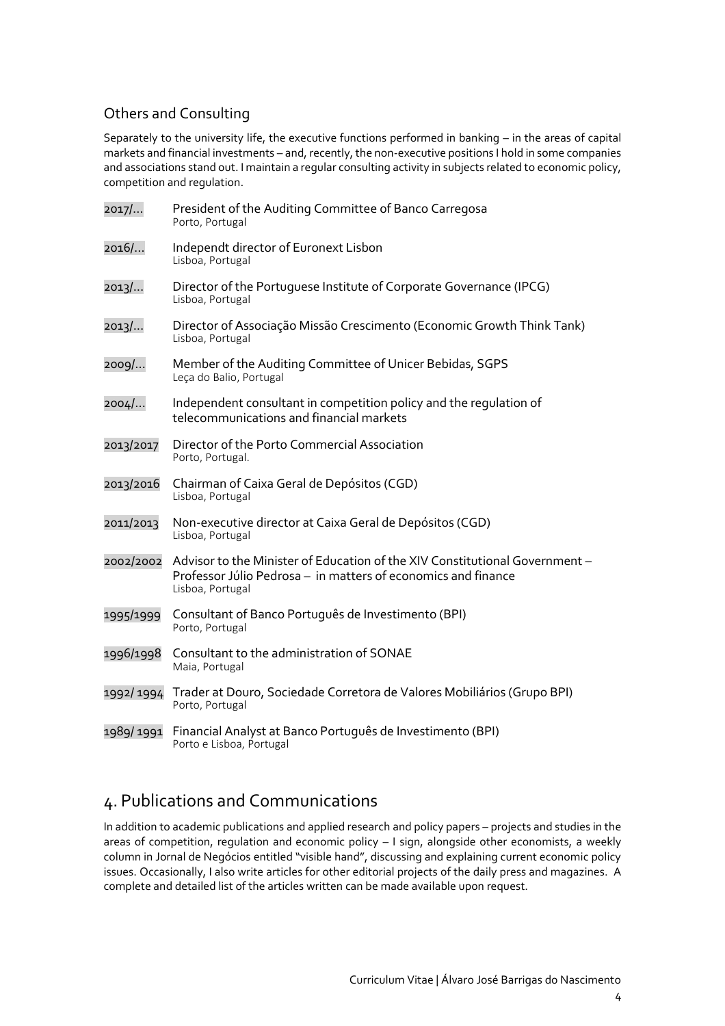## Others and Consulting

Separately to the university life, the executive functions performed in banking – in the areas of capital markets and financial investments – and, recently, the non-executive positions I hold in some companies and associations stand out. I maintain a regular consulting activity in subjects related to economic policy, competition and regulation.

| 2017/     | President of the Auditing Committee of Banco Carregosa<br>Porto, Portugal                                                                                        |
|-----------|------------------------------------------------------------------------------------------------------------------------------------------------------------------|
| 2016/     | Independt director of Euronext Lisbon<br>Lisboa, Portugal                                                                                                        |
| 2013/     | Director of the Portuguese Institute of Corporate Governance (IPCG)<br>Lisboa, Portugal                                                                          |
| 2013/     | Director of Associação Missão Crescimento (Economic Growth Think Tank)<br>Lisboa, Portugal                                                                       |
| 2009/     | Member of the Auditing Committee of Unicer Bebidas, SGPS<br>Leça do Balio, Portugal                                                                              |
| 2004/     | Independent consultant in competition policy and the regulation of<br>telecommunications and financial markets                                                   |
| 2013/2017 | Director of the Porto Commercial Association<br>Porto, Portugal.                                                                                                 |
| 2013/2016 | Chairman of Caixa Geral de Depósitos (CGD)<br>Lisboa, Portugal                                                                                                   |
| 2011/2013 | Non-executive director at Caixa Geral de Depósitos (CGD)<br>Lisboa, Portugal                                                                                     |
| 2002/2002 | Advisor to the Minister of Education of the XIV Constitutional Government -<br>Professor Júlio Pedrosa - in matters of economics and finance<br>Lisboa, Portugal |
| 1995/1999 | Consultant of Banco Português de Investimento (BPI)<br>Porto, Portugal                                                                                           |
| 1996/1998 | Consultant to the administration of SONAE<br>Maia, Portugal                                                                                                      |
| 1992/1994 | Trader at Douro, Sociedade Corretora de Valores Mobiliários (Grupo BPI)<br>Porto, Portugal                                                                       |
| 1989/1991 | Financial Analyst at Banco Português de Investimento (BPI)<br>Porto e Lisboa, Portugal                                                                           |

# 4. Publications and Communications

In addition to academic publications and applied research and policy papers – projects and studies in the areas of competition, regulation and economic policy – I sign, alongside other economists, a weekly column in Jornal de Negócios entitled "visible hand", discussing and explaining current economic policy issues. Occasionally, I also write articles for other editorial projects of the daily press and magazines. A complete and detailed list of the articles written can be made available upon request.